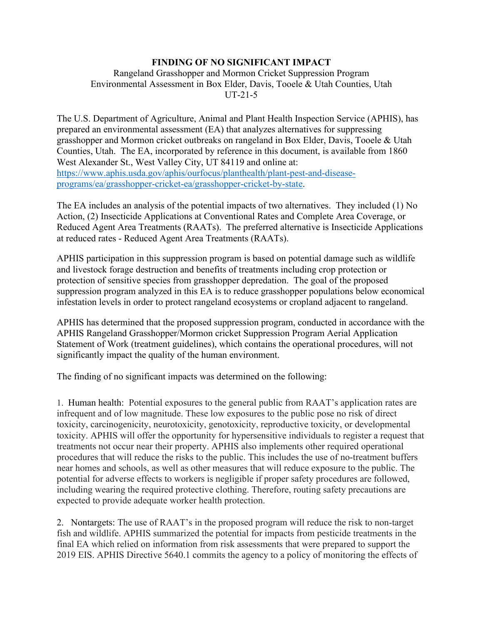## **FINDING OF NO SIGNIFICANT IMPACT**

## Rangeland Grasshopper and Mormon Cricket Suppression Program Environmental Assessment in Box Elder, Davis, Tooele & Utah Counties, Utah UT-21-5

The U.S. Department of Agriculture, Animal and Plant Health Inspection Service (APHIS), has prepared an environmental assessment (EA) that analyzes alternatives for suppressing grasshopper and Mormon cricket outbreaks on rangeland in Box Elder, Davis, Tooele & Utah Counties, Utah. The EA, incorporated by reference in this document, is available from 1860 West Alexander St., West Valley City, UT 84119 and online at: [https://www.aphis.usda.gov/aphis/ourfocus/planthealth/plant-pest-and-disease](https://www.aphis.usda.gov/aphis/ourfocus/planthealth/plant-pest-and-disease-programs/ea/grasshopper-cricket-ea/grasshopper-cricket-by-state)[programs/ea/grasshopper-cricket-ea/grasshopper-cricket-by-state.](https://www.aphis.usda.gov/aphis/ourfocus/planthealth/plant-pest-and-disease-programs/ea/grasshopper-cricket-ea/grasshopper-cricket-by-state)

The EA includes an analysis of the potential impacts of two alternatives. They included (1) No Action, (2) Insecticide Applications at Conventional Rates and Complete Area Coverage, or Reduced Agent Area Treatments (RAATs). The preferred alternative is Insecticide Applications at reduced rates - Reduced Agent Area Treatments (RAATs).

APHIS participation in this suppression program is based on potential damage such as wildlife and livestock forage destruction and benefits of treatments including crop protection or protection of sensitive species from grasshopper depredation. The goal of the proposed suppression program analyzed in this EA is to reduce grasshopper populations below economical infestation levels in order to protect rangeland ecosystems or cropland adjacent to rangeland.

APHIS has determined that the proposed suppression program, conducted in accordance with the APHIS Rangeland Grasshopper/Mormon cricket Suppression Program Aerial Application Statement of Work (treatment guidelines), which contains the operational procedures, will not significantly impact the quality of the human environment.

The finding of no significant impacts was determined on the following:

1. Human health: Potential exposures to the general public from RAAT's application rates are infrequent and of low magnitude. These low exposures to the public pose no risk of direct toxicity, carcinogenicity, neurotoxicity, genotoxicity, reproductive toxicity, or developmental toxicity. APHIS will offer the opportunity for hypersensitive individuals to register a request that treatments not occur near their property. APHIS also implements other required operational procedures that will reduce the risks to the public. This includes the use of no-treatment buffers near homes and schools, as well as other measures that will reduce exposure to the public. The potential for adverse effects to workers is negligible if proper safety procedures are followed, including wearing the required protective clothing. Therefore, routing safety precautions are expected to provide adequate worker health protection.

2. Nontargets: The use of RAAT's in the proposed program will reduce the risk to non-target fish and wildlife. APHIS summarized the potential for impacts from pesticide treatments in the final EA which relied on information from risk assessments that were prepared to support the 2019 EIS. APHIS Directive 5640.1 commits the agency to a policy of monitoring the effects of